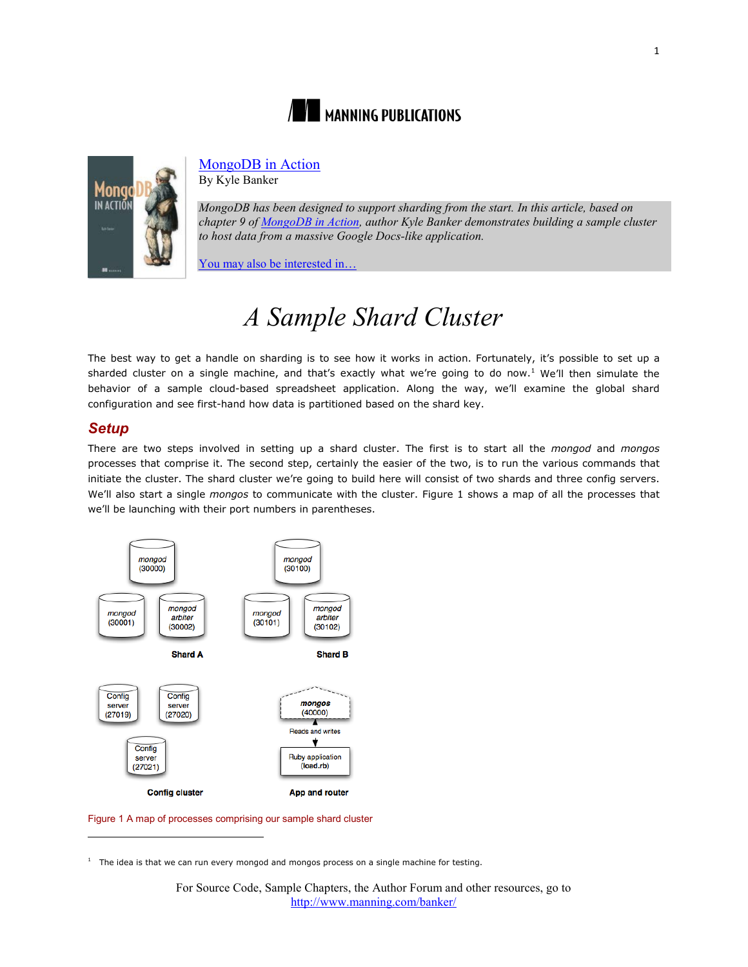



# [MongoDB in Action](http://www.manning.com/banker/)

By Kyle Banker

*MongoDB has been designed to support sharding from the start. In this article, based on chapter 9 of [MongoDB in Action,](http://www.manning.com/banker/) author Kyle Banker demonstrates building a sample cluster to host data from a massive Google Docs-like application.*

[You may also be interested in…](#page-8-0)

# *A Sample Shard Cluster*

The best way to get a handle on sharding is to see how it works in action. Fortunately, it's possible to set up a sharded cluster on a single machine, and that's exactly what we're going to do now.<sup>[1](#page-0-0)</sup> We'll then simulate the behavior of a sample cloud-based spreadsheet application. Along the way, we'll examine the global shard configuration and see first-hand how data is partitioned based on the shard key.

## *Setup*

 $\overline{a}$ 

There are two steps involved in setting up a shard cluster. The first is to start all the *mongod* and *mongos*  processes that comprise it. The second step, certainly the easier of the two, is to run the various commands that initiate the cluster. The shard cluster we're going to build here will consist of two shards and three config servers. We'll also start a single *mongos* to communicate with the cluster. Figure 1 shows a map of all the processes that we'll be launching with their port numbers in parentheses.



Figure 1 A map of processes comprising our sample shard cluster

<span id="page-0-0"></span> $1$  The idea is that we can run every mongod and mongos process on a single machine for testing.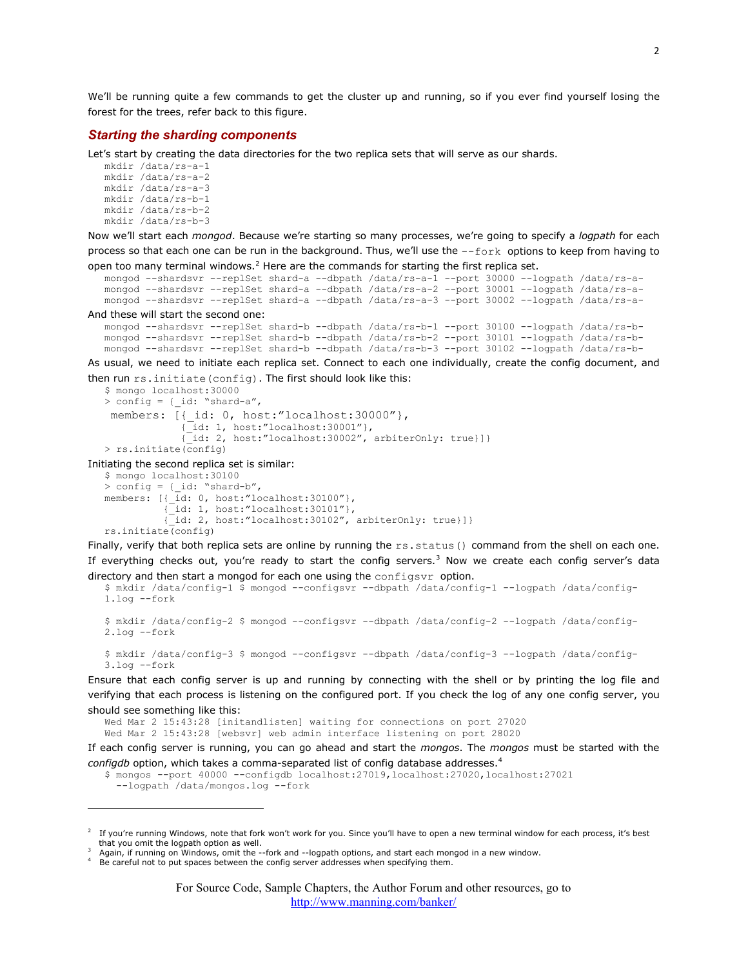We'll be running quite a few commands to get the cluster up and running, so if you ever find yourself losing the forest for the trees, refer back to this figure.

#### *Starting the sharding components*

Let's start by creating the data directories for the two replica sets that will serve as our shards.

```
mkdir /data/rs-a-1 
mkdir /data/rs-a-2 
mkdir /data/rs-a-3 
mkdir /data/rs-b-1 
mkdir /data/rs-b-2 
mkdir /data/rs-b-3
```
Now we'll start each *mongod*. Because we're starting so many processes, we're going to specify a *logpath* for each process so that each one can be run in the background. Thus, we'll use the --fork options to keep from having to open too many terminal windows.<sup>[2](#page-1-0)</sup> Here are the commands for starting the first replica set.

```
mongod --shardsvr --replSet shard-a --dbpath /data/rs-a-1 --port 30000 --logpath /data/rs-a-
mongod --shardsvr --replSet shard-a --dbpath /data/rs-a-2 --port 30001 --logpath /data/rs-a-
mongod --shardsvr --replSet shard-a --dbpath /data/rs-a-3 --port 30002 --logpath /data/rs-a-
```
And these will start the second one:

 $\overline{a}$ 

```
mongod --shardsvr --replSet shard-b --dbpath /data/rs-b-1 --port 30100 --logpath /data/rs-b-
mongod --shardsvr --replSet shard-b --dbpath /data/rs-b-2 --port 30101 --logpath /data/rs-b-
mongod --shardsvr --replSet shard-b --dbpath /data/rs-b-3 --port 30102 --logpath /data/rs-b-
```
As usual, we need to initiate each replica set. Connect to each one individually, create the config document, and then run rs.initiate(config). The first should look like this:

```
$ mongo localhost:30000 
   > config = {_id: "shard-a", 
    members: [{_id: 0, host:"localhost:30000"}, {_id: 1, host:"localhost:30001"}, 
                    {_id: 2, host:"localhost:30002", arbiterOnly: true}]} 
   > rs.initiate(config) 
Initiating the second replica set is similar: 
   $ mongo localhost:30100
```

```
> config = {_id: "shard-b", 
members: [\frac{1}{id}: 0, host: "localhost:30100"],\{\bar{id}: 1, \text{host:} "localhost: 30101"\},
             {_id: 2, host:"localhost:30102", arbiterOnly: true}]} 
rs.initiate(config)
```
Finally, verify that both replica sets are online by running the  $rs.status()$  command from the shell on each one. If everything checks out, you're ready to start the config servers.<sup>[3](#page-1-1)</sup> Now we create each config server's data directory and then start a mongod for each one using the configsvr option.

```
$ mkdir /data/config-1 $ mongod --configsvr --dbpath /data/config-1 --logpath /data/config-
1.log --fork
```

```
$ mkdir /data/config-2 $ mongod --configsvr --dbpath /data/config-2 --logpath /data/config-
2.log --fork
```
\$ mkdir /data/config-3 \$ mongod --configsvr --dbpath /data/config-3 --logpath /data/config-3.log --fork

Ensure that each config server is up and running by connecting with the shell or by printing the log file and verifying that each process is listening on the configured port. If you check the log of any one config server, you should see something like this:

Wed Mar 2 15:43:28 [initandlisten] waiting for connections on port 27020 Wed Mar 2 15:43:28 [websvr] web admin interface listening on port 28020

If each config server is running, you can go ahead and start the *mongos*. The *mongos* must be started with the *configdb* option, which takes a comma-separated list of config database addresses.[4](#page-1-2)

```
$ mongos --port 40000 --configdb localhost:27019,localhost:27020,localhost:27021 
  --logpath /data/mongos.log --fork
```
<span id="page-1-0"></span>If you're running Windows, note that fork won't work for you. Since you'll have to open a new terminal window for each process, it's best that you omit the logpath option as well.

<span id="page-1-1"></span>Again, if running on Windows, omit the --fork and --logpath options, and start each mongod in a new window.

<span id="page-1-2"></span><sup>&</sup>lt;sup>4</sup> Be careful not to put spaces between the config server addresses when specifying them.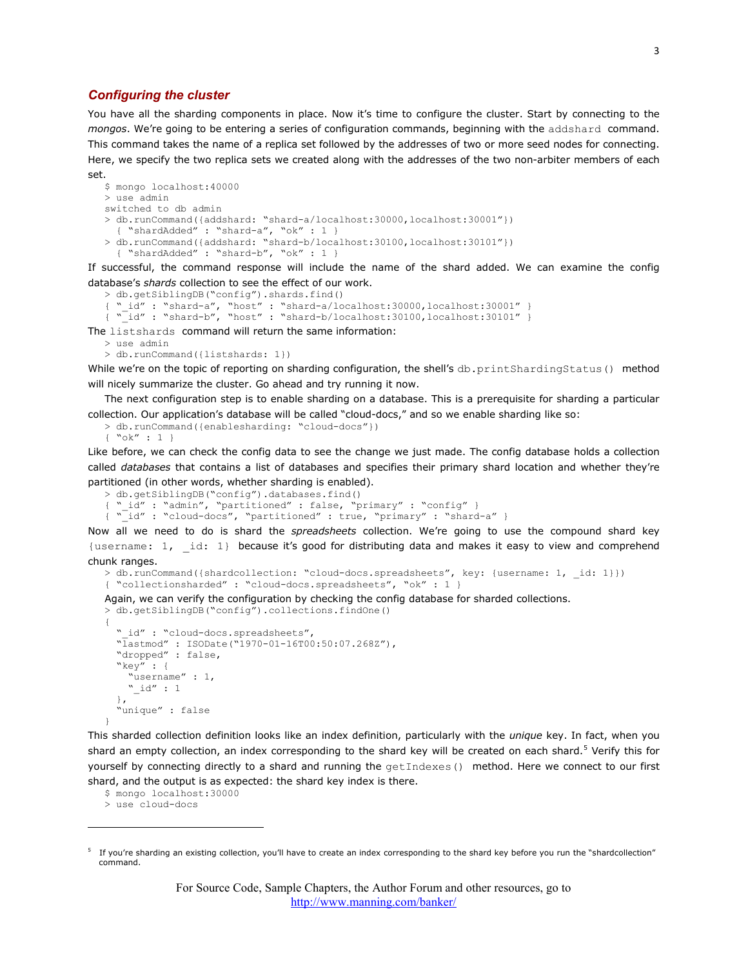#### *Configuring the cluster*

You have all the sharding components in place. Now it's time to configure the cluster. Start by connecting to the *mongos*. We're going to be entering a series of configuration commands, beginning with the addshard command. This command takes the name of a replica set followed by the addresses of two or more seed nodes for connecting. Here, we specify the two replica sets we created along with the addresses of the two non-arbiter members of each set.

```
$ mongo localhost:40000 
> use admin 
switched to db admin 
> db.runCommand({addshard: "shard-a/localhost:30000,localhost:30001"}) 
   { "shardAdded" : "shard-a", "ok" : 1 } 
> db.runCommand({addshard: "shard-b/localhost:30100,localhost:30101"})
   { "shardAdded" : "shard-b", "ok" : 1 }
```
If successful, the command response will include the name of the shard added. We can examine the config database's *shards* collection to see the effect of our work.

> db.getSiblingDB("config").shards.find() { "\_id" : "shard-a", "host" : "shard-a/localhost:30000,localhost:30001" } { "\_id" : "shard-b", "host" : "shard-b/localhost:30100,localhost:30101" }

The listshards command will return the same information:

```
> use admin
```
> db.runCommand({listshards: 1})

While we're on the topic of reporting on sharding configuration, the shell's db.printShardingStatus() method will nicely summarize the cluster. Go ahead and try running it now.

The next configuration step is to enable sharding on a database. This is a prerequisite for sharding a particular collection. Our application's database will be called "cloud-docs," and so we enable sharding like so:

```
> db.runCommand({enablesharding: "cloud-docs"}) 
{ "ok" : 1 }
```
Like before, we can check the config data to see the change we just made. The config database holds a collection called *databases* that contains a list of databases and specifies their primary shard location and whether they're partitioned (in other words, whether sharding is enabled).

```
> db.getSiblingDB("config").databases.find()
```

```
" id" : "admin", "partitioned" : false, "primary" : "config" }
{ "_id" : "cloud-docs", "partitioned" : true, "primary" : "shard-a" }
```
Now all we need to do is shard the *spreadsheets* collection. We're going to use the compound shard key {username: 1, \_id: 1} because it's good for distributing data and makes it easy to view and comprehend chunk ranges.

```
> db.runCommand({shardcollection: "cloud-docs.spreadsheets", key: {username: 1, _id: 1}}) 
{ "collectionsharded" : "cloud-docs.spreadsheets", "ok" : 1 }
```
Again, we can verify the configuration by checking the config database for sharded collections.

```
> db.getSiblingDB("config").collections.findOne() 
{ 
 " id" : "cloud-docs.spreadsheets"
   "lastmod" : ISODate("1970-01-16T00:50:07.268Z"), 
   "dropped" : false, 
   "key" : { 
    "username" : 1,id" : 1 }, 
   "unique" : false 
}
```
This sharded collection definition looks like an index definition, particularly with the *unique* key. In fact, when you shard an empty collection, an index corresponding to the shard key will be created on each shard.<sup>[5](#page-2-0)</sup> Verify this for yourself by connecting directly to a shard and running the getIndexes() method. Here we connect to our first shard, and the output is as expected: the shard key index is there.

\$ mongo localhost:30000

> use cloud-docs

l

<span id="page-2-0"></span>If you're sharding an existing collection, you'll have to create an index corresponding to the shard key before you run the "shardcollection" command.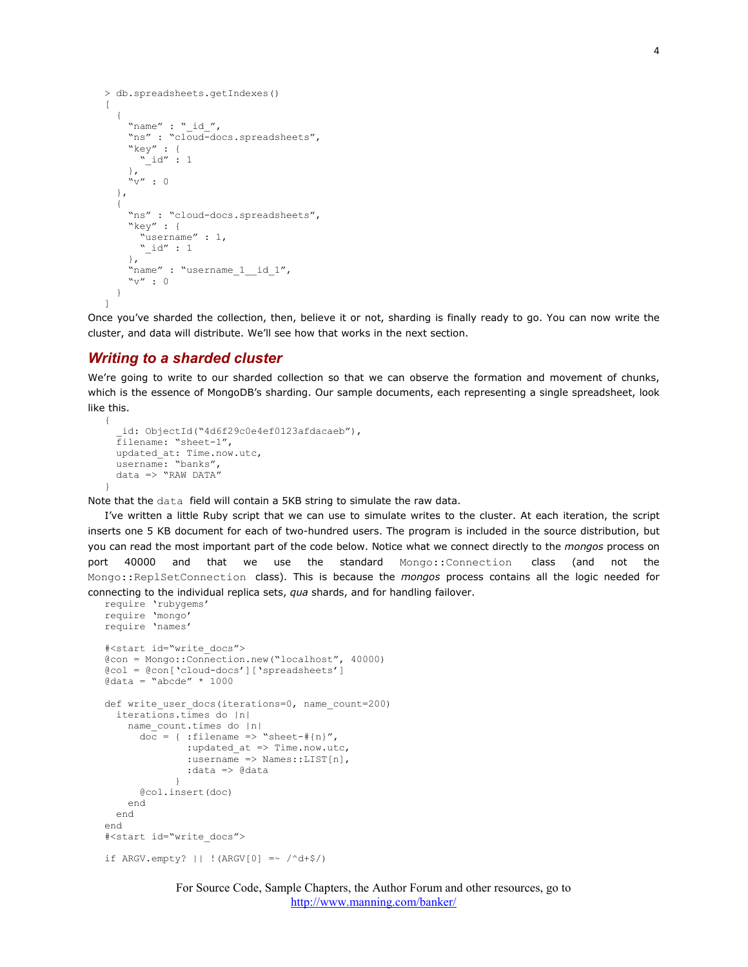```
> db.spreadsheets.getIndexes() 
\Gamma { 
    "name" : "id'',
    "ns" : "cloud-docs.spreadsheets",
      "key" : { 
       "_id" : 1 
      }, 
      "v" : 0 
   }, 
   { 
     "ns" : "cloud-docs.spreadsheets", 
    "key" : \{ "username" : 1, 
       "_id" : 1 
     }, 
    "name" : "username 1 id 1",
    "v" :: 0" } 
]
```
Once you've sharded the collection, then, believe it or not, sharding is finally ready to go. You can now write the cluster, and data will distribute. We'll see how that works in the next section.

#### *Writing to a sharded cluster*

{

}

We're going to write to our sharded collection so that we can observe the formation and movement of chunks, which is the essence of MongoDB's sharding. Our sample documents, each representing a single spreadsheet, look like this.

```
id: ObjectId("4d6f29c0e4ef0123afdacaeb"),
 filename: "sheet-1", 
 updated_at: Time.now.utc, 
 username: "banks", 
data => "RAW DATA"
```
Note that the data field will contain a 5KB string to simulate the raw data.

I've written a little Ruby script that we can use to simulate writes to the cluster. At each iteration, the script inserts one 5 KB document for each of two-hundred users. The program is included in the source distribution, but you can read the most important part of the code below. Notice what we connect directly to the *mongos* process on port 40000 and that we use the standard Mongo::Connection class (and not the Mongo::ReplSetConnection class). This is because the *mongos* process contains all the logic needed for connecting to the individual replica sets, *qua* shards, and for handling failover.

```
require 'rubygems'
require 'mongo'
require 'names'
#<start id="write_docs"> 
@con = Mongo::Connection.new("localhost", 40000) 
@col = @con['cloud-docs']['spreadsheets'] 
\thetadata = "abcde" * 1000
def write user docs(iterations=0, name count=200)
   iterations.times do |n| 
    name_count.times do |n|
       \overline{\text{doc}} = { :filename => "sheet-#{n}",
               :updated at => Time.now.utc,
               : \ldots - \ldots - Names::LIST[n],
             : data \Rightarrow \theta data } 
        @col.insert(doc) 
     end 
   end 
end 
#<start id="write_docs"> 
if ARGV.empty? || !(ARGV[0] =~ /^d+$/)
```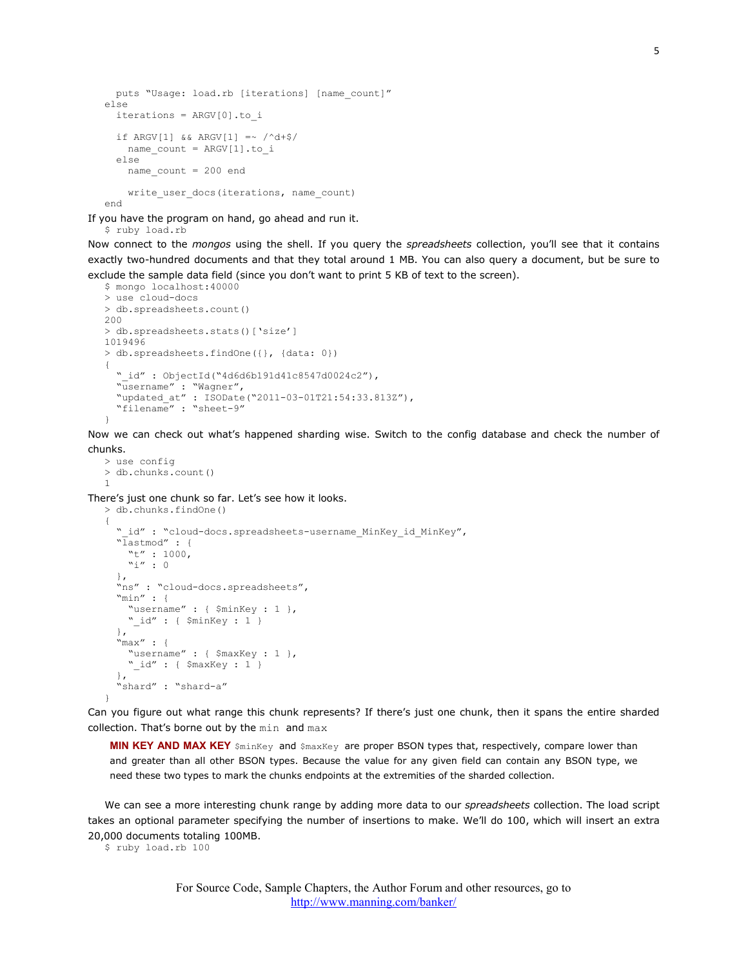```
 puts "Usage: load.rb [iterations] [name_count]"
else 
   iterations = ARGV[0].to_i 
  if \texttt{ARGV[1]} & \texttt{ARGV[1]} \approx /^d + $/name_count = ARGV[1].to i
   else 
    name count = 200 endwrite user docs(iterations, name count)
end
```
If you have the program on hand, go ahead and run it.

\$ ruby load.rb

Now connect to the *mongos* using the shell. If you query the *spreadsheets* collection, you'll see that it contains exactly two-hundred documents and that they total around 1 MB. You can also query a document, but be sure to exclude the sample data field (since you don't want to print 5 KB of text to the screen).

```
$ mongo localhost:40000 
> use cloud-docs 
> db.spreadsheets.count() 
200 
> db.spreadsheets.stats()['size'] 
1019496 
> db.spreadsheets.findOne({}, {data: 0}) 
{ 
   "_id" : ObjectId("4d6d6b191d41c8547d0024c2"), 
   "username" : "Wagner", 
   "updated_at" : ISODate("2011-03-01T21:54:33.813Z"), 
   "filename" : "sheet-9"
}
```
Now we can check out what's happened sharding wise. Switch to the config database and check the number of chunks.

> use config > db.chunks.count() 1

There's just one chunk so far. Let's see how it looks.

```
> db.chunks.findOne() 
{ 
  " id" : "cloud-docs.spreadsheets-username_MinKey_id_MinKey",
   "lastmod" : { 
    "t" : 1000,
    \sum_{i=1}^{n} : 0
   }, 
   "ns" : "cloud-docs.spreadsheets", 
   "min" : { 
     "username" : { $minKey : 1 }, 
     "_id" : { $minKey : 1 } 
   }, 
    "max" : { 
     "username" : { $maxKey : 1 }, 
     "_id" : { $maxKey : 1 } 
   }, 
   "shard" : "shard-a"
}
```
Can you figure out what range this chunk represents? If there's just one chunk, then it spans the entire sharded collection. That's borne out by the min and max

**MIN KEY AND MAX KEY** \$minKey and \$maxKey are proper BSON types that, respectively, compare lower than and greater than all other BSON types. Because the value for any given field can contain any BSON type, we need these two types to mark the chunks endpoints at the extremities of the sharded collection.

We can see a more interesting chunk range by adding more data to our *spreadsheets* collection. The load script takes an optional parameter specifying the number of insertions to make. We'll do 100, which will insert an extra 20,000 documents totaling 100MB.

\$ ruby load.rb 100

For Source Code, Sample Chapters, the Author Forum and other resources, go to <http://www.manning.com/banker/>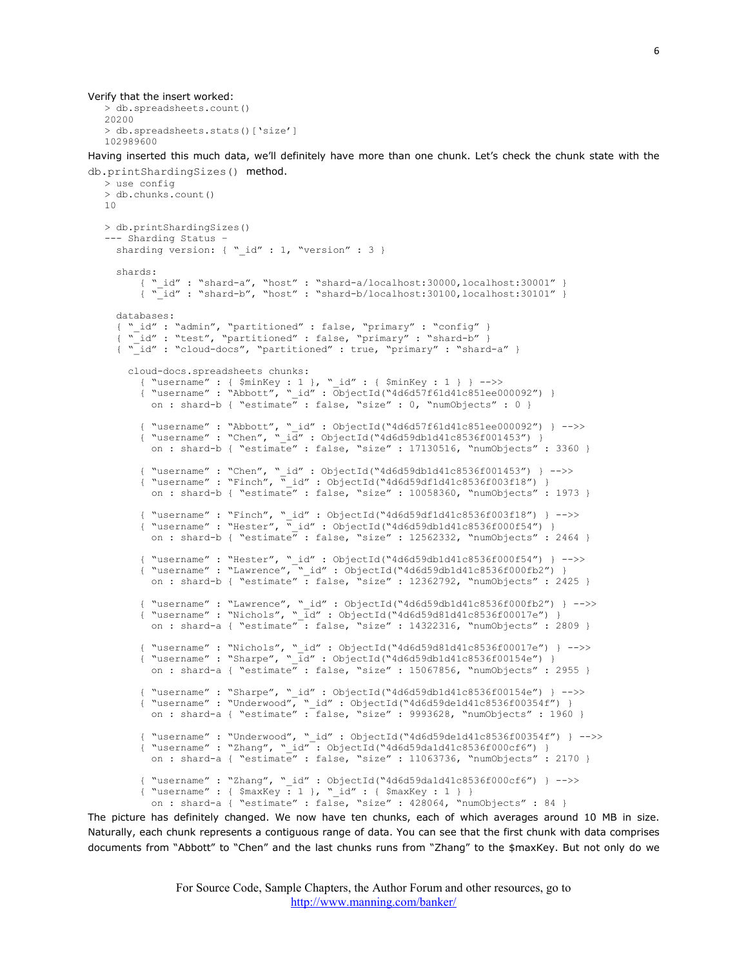```
> db.spreadsheets.count() 
20200 
> db.spreadsheets.stats()['size'] 
102989600
```
Having inserted this much data, we'll definitely have more than one chunk. Let's check the chunk state with the db.printShardingSizes() method.

```
> use config 
> db.chunks.count() 
10 
> db.printShardingSizes() 
--- Sharding Status –
 sharding version: { " id" : 1, "version" : 3 }
   shards: 
       { "_id" : "shard-a", "host" : "shard-a/localhost:30000,localhost:30001" } 
      {\rm i} "id" : "shard-b", "host" : "shard-b/localhost:30100,localhost:30101" }
   databases: 
    "_id" : "admin", "partitioned" : false, "primary" : "config" }
   {\overline{\text{ "id}}} : "test", "partitioned" : false, "primary" : "shard-b" }
  { "_id" : "cloud-docs", "partitioned" : true, "primary" : "shard-a" }
     cloud-docs.spreadsheets chunks: 
       { "username" : { $minKey : 1 }, "_id" : { $minKey : 1 } } -->> 
       { "username" : "Abbott", "_id" : ObjectId("4d6d57f61d41c851ee000092") } 
       on : shard-b { "estimate" : false, "size" : 0, "numObjects" : 0 }
 { "username" : "Abbott", "_id" : ObjectId("4d6d57f61d41c851ee000092") } -->> 
 { "username" : "Chen", "_id" : ObjectId("4d6d59db1d41c8536f001453") } 
         on : shard-b { "estimate" : false, "size" : 17130516, "numObjects" : 3360 } 
 { "username" : "Chen", "_id" : ObjectId("4d6d59db1d41c8536f001453") } -->> 
 { "username" : "Finch", "_id" : ObjectId("4d6d59df1d41c8536f003f18") } 
       on : shard-b { "estimate" : false, "size" : 10058360, "numObjects" : 1973 }
 { "username" : "Finch", "_id" : ObjectId("4d6d59df1d41c8536f003f18") } -->> 
 { "username" : "Hester", "_id" : ObjectId("4d6d59db1d41c8536f000f54") } 
       on : shard-b { "estimate" : false, "size" : 12562332, "numObjects" : 2464 }
 { "username" : "Hester", "_id" : ObjectId("4d6d59db1d41c8536f000f54") } -->> 
 { "username" : "Lawrence", "_id" : ObjectId("4d6d59db1d41c8536f000fb2") } 
        on : shard-b { "estimate" : false, "size" : 12362792, "numObjects" : 2425 } 
 { "username" : "Lawrence", "_id" : ObjectId("4d6d59db1d41c8536f000fb2") } -->> 
 { "username" : "Nichols", "_id" : ObjectId("4d6d59d81d41c8536f00017e") } 
       on : shard-a { "estimate": false, "size" : 14322316, "numObjects" : 2809 }
 { "username" : "Nichols", "_id" : ObjectId("4d6d59d81d41c8536f00017e") } -->> 
 { "username" : "Sharpe", "_id" : ObjectId("4d6d59db1d41c8536f00154e") } 
       on : shard-a { "estimate" : false, "size" : 15067856, "numObjects" : 2955 }
       { "username" : "Sharpe", "_id" : ObjectId("4d6d59db1d41c8536f00154e") } -->> 
{\S} "username" : "Underwood", " id" : ObjectId("4d6d59de1d41c8536f00354f") }
 on : shard-a { "estimate" : false, "size" : 9993628, "numObjects" : 1960 } 
 { "username" : "Underwood", "_id" : ObjectId("4d6d59de1d41c8536f00354f") } -->> 
 { "username" : "Zhang", "_id" : ObjectId("4d6d59da1d41c8536f000cf6") } 
 on : shard-a { "estimate" : false, "size" : 11063736, "numObjects" : 2170 } 
 { "username" : "Zhang", "_id" : ObjectId("4d6d59da1d41c8536f000cf6") } -->> 
 { "username" : { $maxKey : 1 }, "_id" : { $maxKey : 1 } } 
         on : shard-a { "estimate" : false, "size" : 428064, "numObjects" : 84 }
```
The picture has definitely changed. We now have ten chunks, each of which averages around 10 MB in size. Naturally, each chunk represents a contiguous range of data. You can see that the first chunk with data comprises documents from "Abbott" to "Chen" and the last chunks runs from "Zhang" to the \$maxKey. But not only do we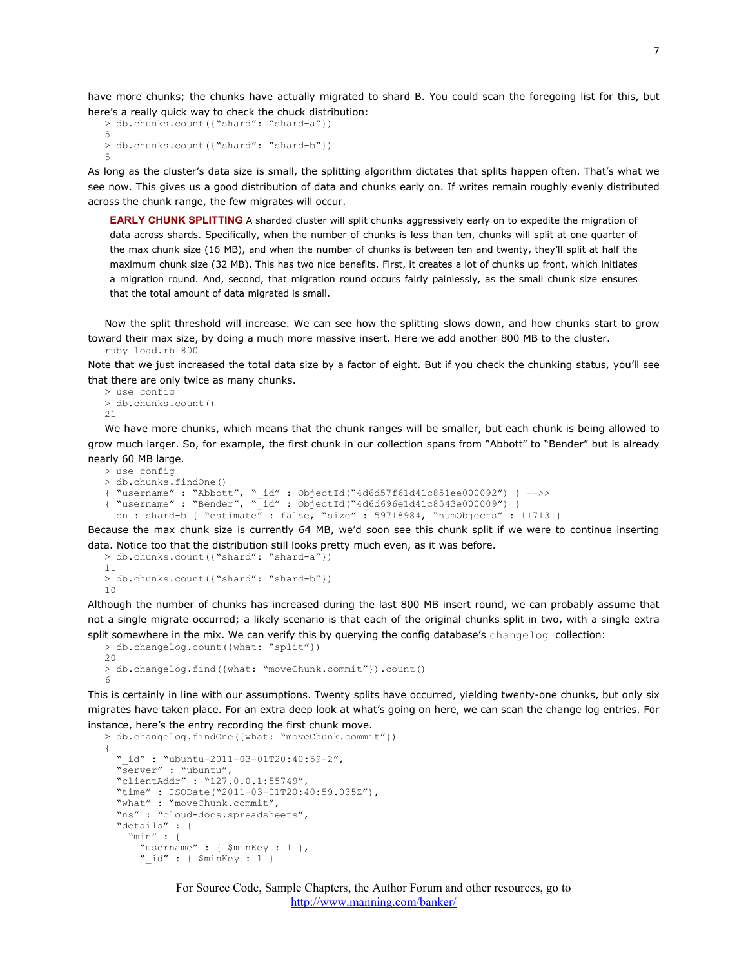have more chunks; the chunks have actually migrated to shard B. You could scan the foregoing list for this, but here's a really quick way to check the chuck distribution:

```
> db.chunks.count({"shard": "shard-a"}) 
5 
> db.chunks.count({"shard": "shard-b"}) 
5
```
As long as the cluster's data size is small, the splitting algorithm dictates that splits happen often. That's what we see now. This gives us a good distribution of data and chunks early on. If writes remain roughly evenly distributed across the chunk range, the few migrates will occur.

**EARLY CHUNK SPLITTING** A sharded cluster will split chunks aggressively early on to expedite the migration of data across shards. Specifically, when the number of chunks is less than ten, chunks will split at one quarter of the max chunk size (16 MB), and when the number of chunks is between ten and twenty, they'll split at half the maximum chunk size (32 MB). This has two nice benefits. First, it creates a lot of chunks up front, which initiates a migration round. And, second, that migration round occurs fairly painlessly, as the small chunk size ensures that the total amount of data migrated is small.

Now the split threshold will increase. We can see how the splitting slows down, and how chunks start to grow toward their max size, by doing a much more massive insert. Here we add another 800 MB to the cluster. ruby load.rb 800

Note that we just increased the total data size by a factor of eight. But if you check the chunking status, you'll see that there are only twice as many chunks.

```
> use config 
> db.chunks.count() 
21
```
We have more chunks, which means that the chunk ranges will be smaller, but each chunk is being allowed to grow much larger. So, for example, the first chunk in our collection spans from "Abbott" to "Bender" but is already nearly 60 MB large.

```
> use config 
> db.chunks.findOne() 
{ "username" : "Abbott", "_id" : ObjectId("4d6d57f61d41c851ee000092") } -->> 
{ "username" : "Bender", "_id" : ObjectId("4d6d696e1d41c8543e000009") } 
  on : shard-b { "estimate\overline{''} : false, " size" : 59718984, "numObjects" : 11713 }
```
Because the max chunk size is currently 64 MB, we'd soon see this chunk split if we were to continue inserting data. Notice too that the distribution still looks pretty much even, as it was before.

```
> db.chunks.count({"shard": "shard-a"}) 
11 
> db.chunks.count({"shard": "shard-b"}) 
10
```
Although the number of chunks has increased during the last 800 MB insert round, we can probably assume that not a single migrate occurred; a likely scenario is that each of the original chunks split in two, with a single extra split somewhere in the mix. We can verify this by querying the config database's changelog collection:

```
> db.changelog.count({what: "split"}) 
20 
> db.changelog.find({what: "moveChunk.commit"}).count() 
6
```
This is certainly in line with our assumptions. Twenty splits have occurred, yielding twenty-one chunks, but only six migrates have taken place. For an extra deep look at what's going on here, we can scan the change log entries. For instance, here's the entry recording the first chunk move.

```
> db.changelog.findOne({what: "moveChunk.commit"}) 
{ 
  " id" : "ubuntu-2011-03-01T20:40:59-2",
   "server" : "ubuntu", 
   "clientAddr" : "127.0.0.1:55749", 
   "time" : ISODate("2011-03-01T20:40:59.035Z"), 
   "what" : "moveChunk.commit", 
   "ns" : "cloud-docs.spreadsheets", 
   "details" : { 
     "min" : { 
       "username" : { $minKey : 1 }, 
       "_id" : { $minKey : 1 }
```
For Source Code, Sample Chapters, the Author Forum and other resources, go to <http://www.manning.com/banker/>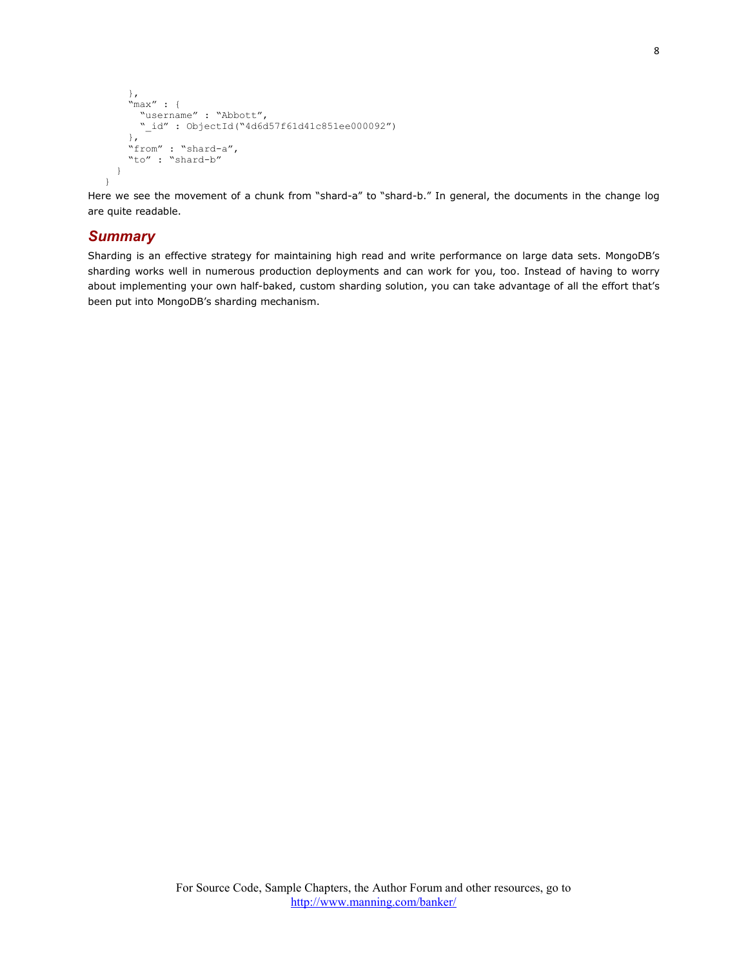```
\rightarrow "max" : { 
       "username" : "Abbott", 
 "_id" : ObjectId("4d6d57f61d41c851ee000092") 
\rightarrow "from" : "shard-a", 
     "to" : "shard-b"
  } 
}
```
Here we see the movement of a chunk from "shard-a" to "shard-b." In general, the documents in the change log are quite readable.

## *Summary*

Sharding is an effective strategy for maintaining high read and write performance on large data sets. MongoDB's sharding works well in numerous production deployments and can work for you, too. Instead of having to worry about implementing your own half-baked, custom sharding solution, you can take advantage of all the effort that's been put into MongoDB's sharding mechanism.